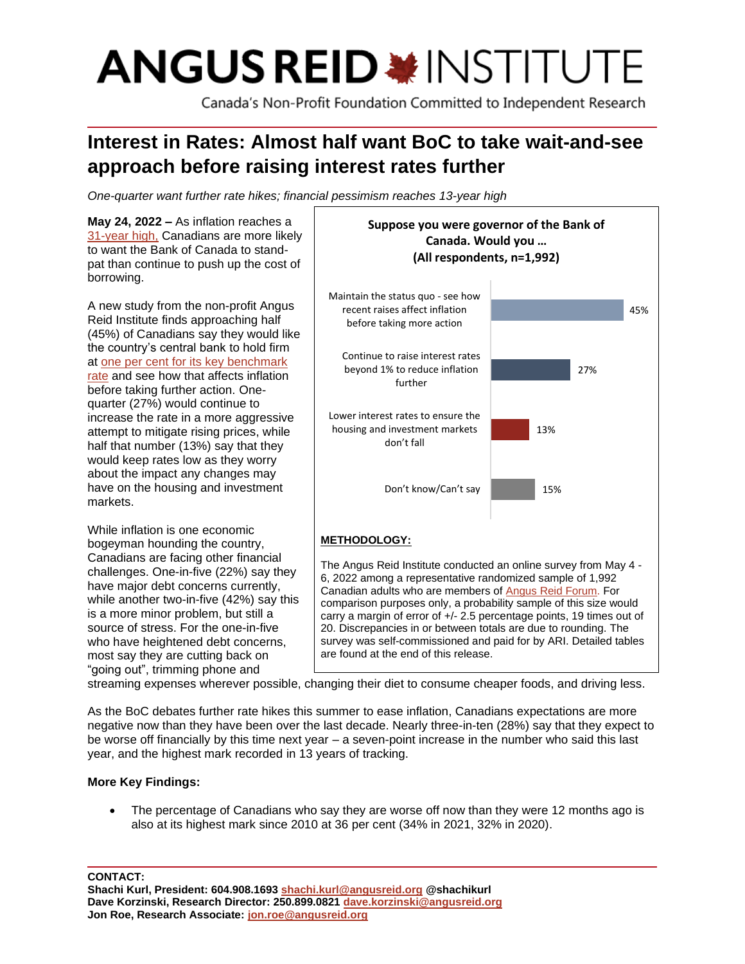# **ANGUS REID \*INSTITUTE**

Canada's Non-Profit Foundation Committed to Independent Research

# **Interest in Rates: Almost half want BoC to take wait-and-see approach before raising interest rates further**

*One-quarter want further rate hikes; financial pessimism reaches 13-year high*

**May 24, 2022 –** As inflation reaches a [31-year high,](https://globalnews.ca/news/8844481/inflation-canada-april-2022/) Canadians are more likely to want the Bank of Canada to standpat than continue to push up the cost of borrowing.

A new study from the non-profit Angus Reid Institute finds approaching half (45%) of Canadians say they would like the country's central bank to hold firm at [one per cent for its key benchmark](https://www.cp24.com/news/bank-of-canada-raises-key-rate-half-a-point-to-1-and-warns-of-further-hikes-to-come-1.5859951)  [rate](https://www.cp24.com/news/bank-of-canada-raises-key-rate-half-a-point-to-1-and-warns-of-further-hikes-to-come-1.5859951) and see how that affects inflation before taking further action. Onequarter (27%) would continue to increase the rate in a more aggressive attempt to mitigate rising prices, while half that number (13%) say that they would keep rates low as they worry about the impact any changes may have on the housing and investment markets.

While inflation is one economic bogeyman hounding the country, Canadians are facing other financial challenges. One-in-five (22%) say they have major debt concerns currently, while another two-in-five (42%) say this is a more minor problem, but still a source of stress. For the one-in-five who have heightened debt concerns, most say they are cutting back on "going out", trimming phone and



streaming expenses wherever possible, changing their diet to consume cheaper foods, and driving less.

As the BoC debates further rate hikes this summer to ease inflation, Canadians expectations are more negative now than they have been over the last decade. Nearly three-in-ten (28%) say that they expect to be worse off financially by this time next year – a seven-point increase in the number who said this last year, and the highest mark recorded in 13 years of tracking.

# **More Key Findings:**

• The percentage of Canadians who say they are worse off now than they were 12 months ago is also at its highest mark since 2010 at 36 per cent (34% in 2021, 32% in 2020).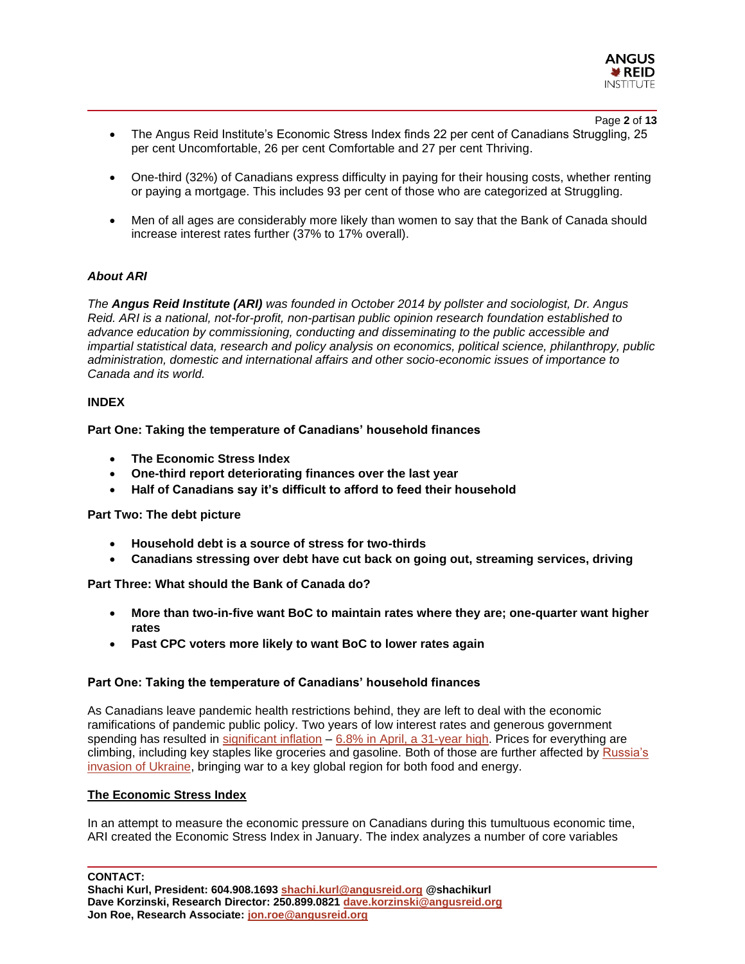

#### Page **2** of **13**

- The Angus Reid Institute's Economic Stress Index finds 22 per cent of Canadians Struggling, 25 per cent Uncomfortable, 26 per cent Comfortable and 27 per cent Thriving.
- One-third (32%) of Canadians express difficulty in paying for their housing costs, whether renting or paying a mortgage. This includes 93 per cent of those who are categorized at Struggling.
- Men of all ages are considerably more likely than women to say that the Bank of Canada should increase interest rates further (37% to 17% overall).

#### *About ARI*

*The Angus Reid Institute (ARI) was founded in October 2014 by pollster and sociologist, Dr. Angus Reid. ARI is a national, not-for-profit, non-partisan public opinion research foundation established to advance education by commissioning, conducting and disseminating to the public accessible and impartial statistical data, research and policy analysis on economics, political science, philanthropy, public administration, domestic and international affairs and other socio-economic issues of importance to Canada and its world.*

#### **INDEX**

**Part One: Taking the temperature of Canadians' household finances**

- **The Economic Stress Index**
- **One-third report deteriorating finances over the last year**
- **Half of Canadians say it's difficult to afford to feed their household**

#### **Part Two: The debt picture**

- **Household debt is a source of stress for two-thirds**
- **Canadians stressing over debt have cut back on going out, streaming services, driving**

**Part Three: What should the Bank of Canada do?**

- **More than two-in-five want BoC to maintain rates where they are; one-quarter want higher rates**
- **Past CPC voters more likely to want BoC to lower rates again**

#### **Part One: Taking the temperature of Canadians' household finances**

As Canadians leave pandemic health restrictions behind, they are left to deal with the economic ramifications of pandemic public policy. Two years of low interest rates and generous government spending has resulted in [significant inflation](https://www.cbc.ca/news/business/inflation-business-explainer-1.6362093) - [6.8% in April, a 31-year high.](https://globalnews.ca/news/8844481/inflation-canada-april-2022/) Prices for everything are climbing, including key staples like groceries and gasoline. Both of those are further affected by [Russia's](https://financialpost.com/commodities/agriculture/grocery-bills-heading-higher-as-ukraine-conflict-continues)  [invasion of Ukraine,](https://financialpost.com/commodities/agriculture/grocery-bills-heading-higher-as-ukraine-conflict-continues) bringing war to a key global region for both food and energy.

#### **The Economic Stress Index**

In an attempt to measure the economic pressure on Canadians during this tumultuous economic time, ARI created the Economic Stress Index in January. The index analyzes a number of core variables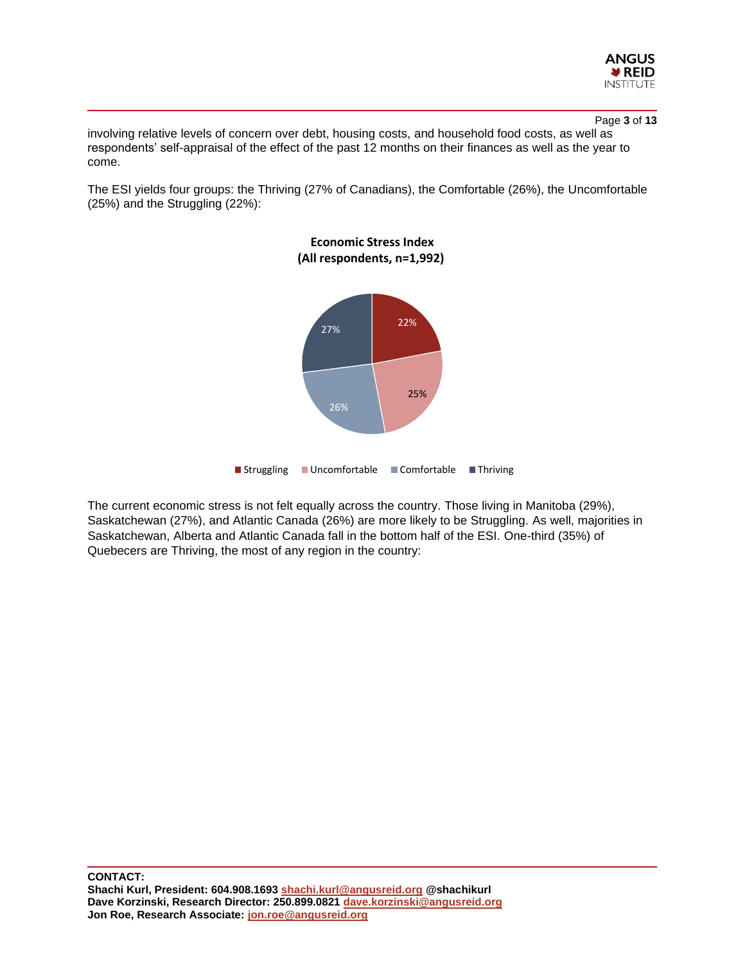

Page **3** of **13**

involving relative levels of concern over debt, housing costs, and household food costs, as well as respondents' self-appraisal of the effect of the past 12 months on their finances as well as the year to come.

The ESI yields four groups: the Thriving (27% of Canadians), the Comfortable (26%), the Uncomfortable (25%) and the Struggling (22%):



The current economic stress is not felt equally across the country. Those living in Manitoba (29%), Saskatchewan (27%), and Atlantic Canada (26%) are more likely to be Struggling. As well, majorities in Saskatchewan, Alberta and Atlantic Canada fall in the bottom half of the ESI. One-third (35%) of Quebecers are Thriving, the most of any region in the country: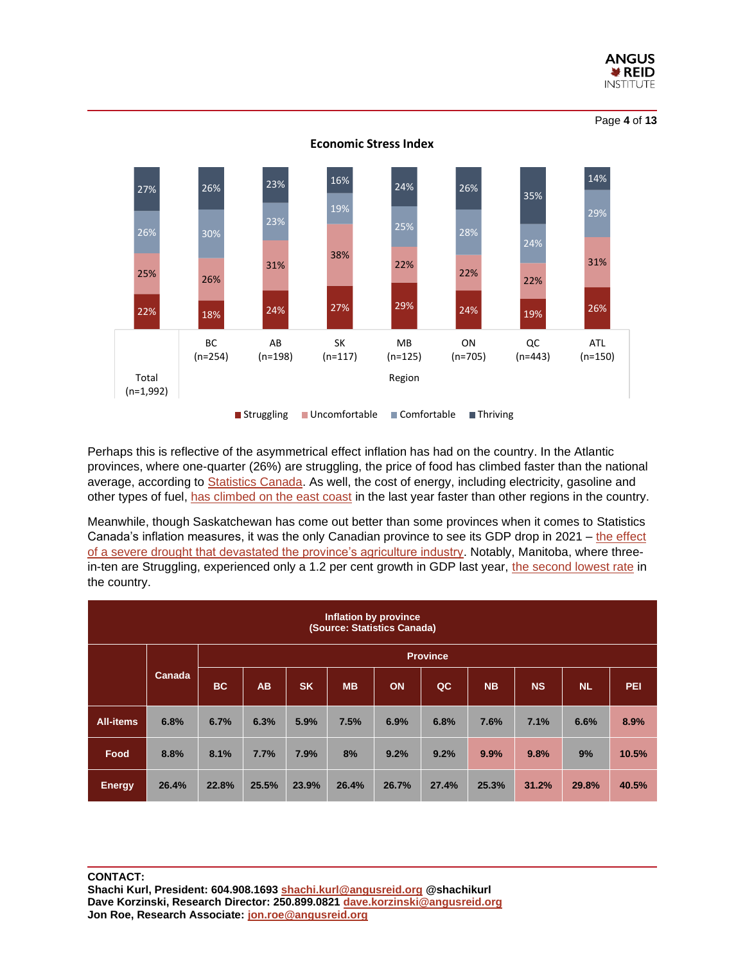

22% 18% 24% 27% 29% 24% 19% 26% 25% 26% 31% 38% 22% 22% 22% 31% 26% 30% 23% 19% 25% 28% 24% 27% 26% 23% 16% 24% 26% 35% 14% BC (n=254) AB (n=198) SK (n=117) MB (n=125) ON (n=705) QC (n=443) ATL (n=150) Total (n=1,992) Region **Economic Stress Index** Struggling Uncomfortable Comfortable Thriving

Perhaps this is reflective of the asymmetrical effect inflation has had on the country. In the Atlantic provinces, where one-quarter (26%) are struggling, the price of food has climbed faster than the national average, according to [Statistics Canada.](https://www150.statcan.gc.ca/t1/tbl1/en/cv.action?pid=1810000411) As well, the cost of energy, including electricity, gasoline and other types of fuel, [has climbed on the east coast](https://atlantic.ctvnews.ca/gas-prices-continue-to-surge-in-the-maritimes-and-across-canada-1.5896863) in the last year faster than other regions in the country.

Meanwhile, though Saskatchewan has come out better than some provinces when it comes to Statistics Canada's inflation measures, it was the only Canadian province to see its GDP drop in 2021 – [the effect](https://www.cbc.ca/news/canada/saskatchewan/gdp-saskatchewan-drought-1.6441410)  [of a severe drought that devastated the province's agriculture industry.](https://www.cbc.ca/news/canada/saskatchewan/gdp-saskatchewan-drought-1.6441410) Notably, Manitoba, where threein-ten are Struggling, experienced only a 1.2 per cent growth in GDP last year, [the second lowest rate](https://www.cbc.ca/news/canada/saskatchewan/gdp-saskatchewan-drought-1.6441410) in the country.

| Inflation by province<br>(Source: Statistics Canada) |        |                 |           |           |           |       |       |           |           |           |       |
|------------------------------------------------------|--------|-----------------|-----------|-----------|-----------|-------|-------|-----------|-----------|-----------|-------|
|                                                      |        | <b>Province</b> |           |           |           |       |       |           |           |           |       |
|                                                      | Canada | <b>BC</b>       | <b>AB</b> | <b>SK</b> | <b>MB</b> | ON    | QC    | <b>NB</b> | <b>NS</b> | <b>NL</b> | PEI   |
| <b>All-items</b>                                     | 6.8%   | 6.7%            | 6.3%      | 5.9%      | 7.5%      | 6.9%  | 6.8%  | 7.6%      | 7.1%      | 6.6%      | 8.9%  |
| Food                                                 | 8.8%   | 8.1%            | 7.7%      | 7.9%      | 8%        | 9.2%  | 9.2%  | 9.9%      | 9.8%      | 9%        | 10.5% |
| <b>Energy</b>                                        | 26.4%  | 22.8%           | 25.5%     | 23.9%     | 26.4%     | 26.7% | 27.4% | 25.3%     | 31.2%     | 29.8%     | 40.5% |

#### **CONTACT: Shachi Kurl, President: 604.908.1693 [shachi.kurl@angusreid.org](mailto:shachi.kurl@angusreid.org) @shachikurl Dave Korzinski, Research Director: 250.899.0821 [dave.korzinski@angusreid.org](mailto:dave.korzinski@angusreid.org) Jon Roe, Research Associate[: jon.roe@angusreid.org](mailto:jon.roe@angusreid.org)**

Page **4** of **13**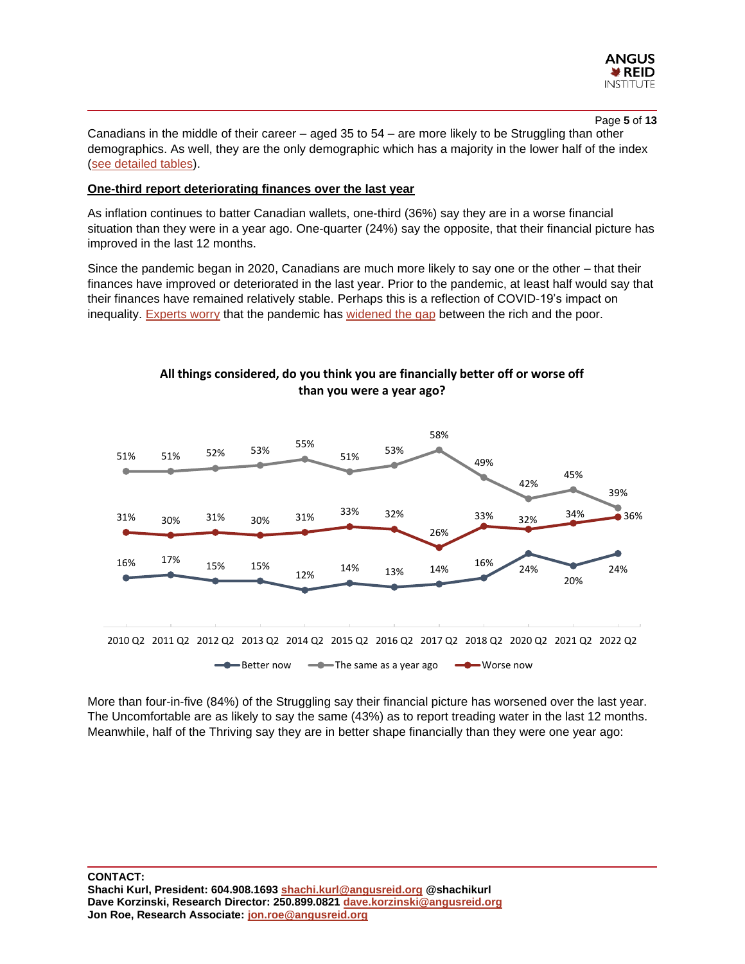

Page **5** of **13**

Canadians in the middle of their career – aged 35 to 54 – are more likely to be Struggling than other demographics. As well, they are the only demographic which has a majority in the lower half of the index [\(see detailed tables\)](https://angusreid.org/wp-content/uploads/2022/05/2022.05.24_Inflation_tables.pdf).

### **One-third report deteriorating finances over the last year**

As inflation continues to batter Canadian wallets, one-third (36%) say they are in a worse financial situation than they were in a year ago. One-quarter (24%) say the opposite, that their financial picture has improved in the last 12 months.

Since the pandemic began in 2020, Canadians are much more likely to say one or the other – that their finances have improved or deteriorated in the last year. Prior to the pandemic, at least half would say that their finances have remained relatively stable. Perhaps this is a reflection of COVID-19's impact on inequality. [Experts worry](https://policyoptions.irpp.org/magazines/april-2021/why-covid-19-is-an-inequality-virus/) that the pandemic has [widened the gap](https://www.ctvnews.ca/business/rich-get-richer-poor-poorer-two-reports-say-pandemic-intensifying-inequalities-1.5142835) between the rich and the poor.



**All things considered, do you think you are financially better off or worse off than you were a year ago?**

More than four-in-five (84%) of the Struggling say their financial picture has worsened over the last year. The Uncomfortable are as likely to say the same (43%) as to report treading water in the last 12 months. Meanwhile, half of the Thriving say they are in better shape financially than they were one year ago: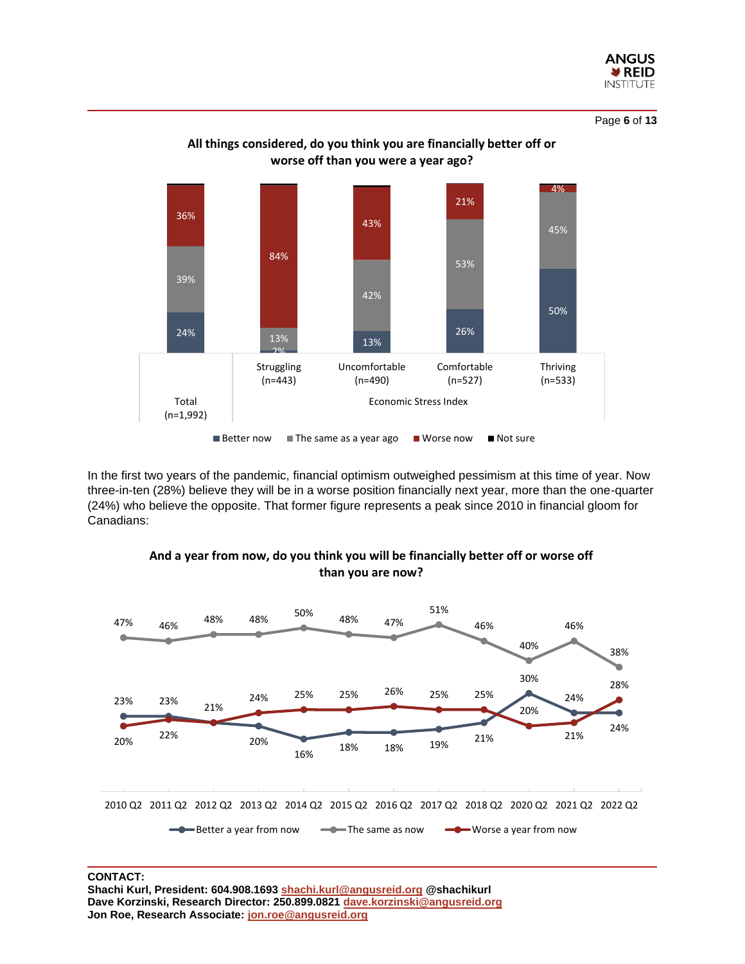

Page **6** of **13**



**All things considered, do you think you are financially better off or worse off than you were a year ago?**

In the first two years of the pandemic, financial optimism outweighed pessimism at this time of year. Now three-in-ten (28%) believe they will be in a worse position financially next year, more than the one-quarter (24%) who believe the opposite. That former figure represents a peak since 2010 in financial gloom for Canadians:



# **And a year from now, do you think you will be financially better off or worse off than you are now?**

# **CONTACT:**

**Shachi Kurl, President: 604.908.1693 [shachi.kurl@angusreid.org](mailto:shachi.kurl@angusreid.org) @shachikurl Dave Korzinski, Research Director: 250.899.0821 [dave.korzinski@angusreid.org](mailto:dave.korzinski@angusreid.org) Jon Roe, Research Associate[: jon.roe@angusreid.org](mailto:jon.roe@angusreid.org)**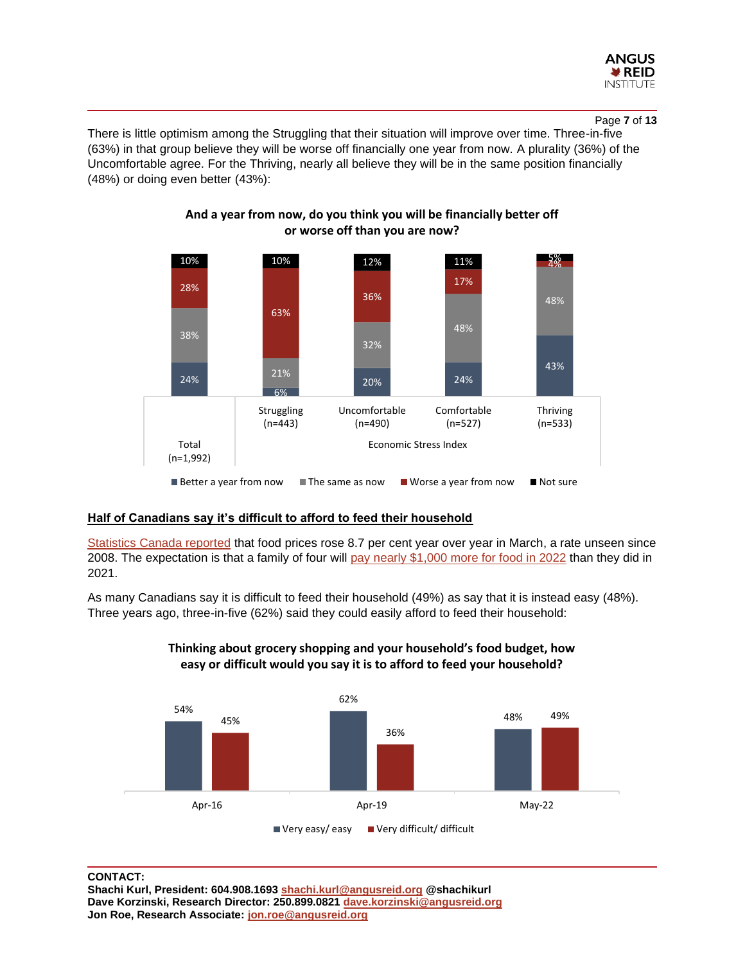

Page **7** of **13**

There is little optimism among the Struggling that their situation will improve over time. Three-in-five (63%) in that group believe they will be worse off financially one year from now. A plurality (36%) of the Uncomfortable agree. For the Thriving, nearly all believe they will be in the same position financially (48%) or doing even better (43%):



**And a year from now, do you think you will be financially better off or worse off than you are now?**

# **Half of Canadians say it's difficult to afford to feed their household**

[Statistics Canada reported](https://globalnews.ca/news/8773411/how-to-save-grocery-store-food-prices/) that food prices rose 8.7 per cent year over year in March, a rate unseen since 2008. The expectation is that a family of four will [pay nearly \\$1,000 more for food in 2022](https://www.dal.ca/sites/agri-food/research/canada-s-food-price-report-2022.html) than they did in 2021.

As many Canadians say it is difficult to feed their household (49%) as say that it is instead easy (48%). Three years ago, three-in-five (62%) said they could easily afford to feed their household:



# **Thinking about grocery shopping and your household's food budget, how easy or difficult would you say it is to afford to feed your household?**

# **CONTACT:**

**Shachi Kurl, President: 604.908.1693 [shachi.kurl@angusreid.org](mailto:shachi.kurl@angusreid.org) @shachikurl Dave Korzinski, Research Director: 250.899.0821 [dave.korzinski@angusreid.org](mailto:dave.korzinski@angusreid.org) Jon Roe, Research Associate[: jon.roe@angusreid.org](mailto:jon.roe@angusreid.org)**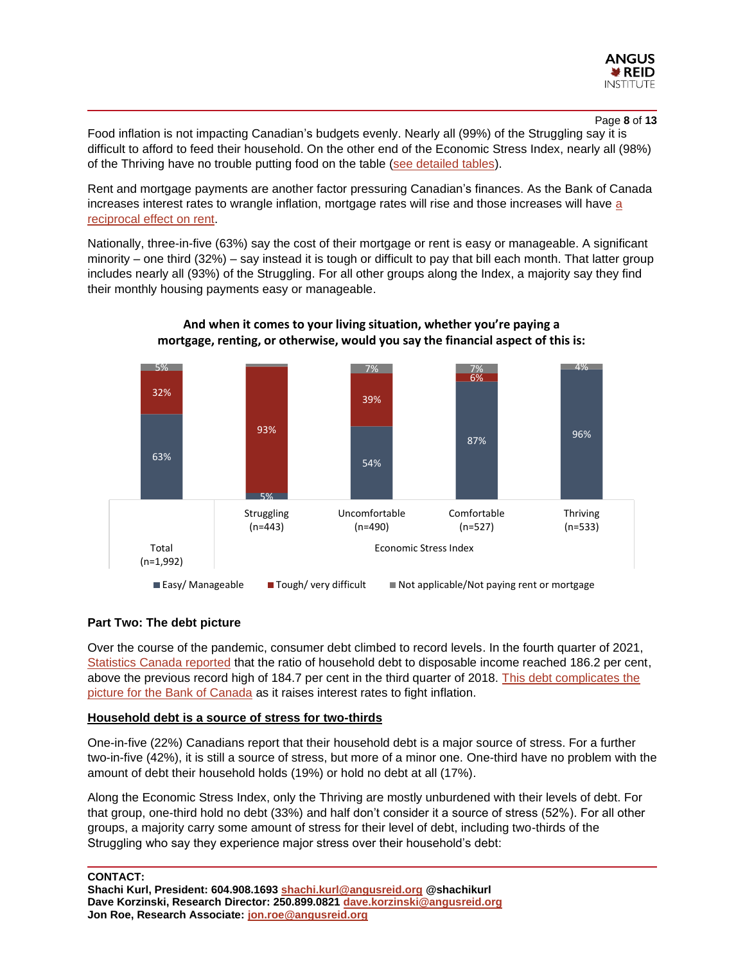

#### Page **8** of **13**

Food inflation is not impacting Canadian's budgets evenly. Nearly all (99%) of the Struggling say it is difficult to afford to feed their household. On the other end of the Economic Stress Index, nearly all (98%) of the Thriving have no trouble putting food on the table [\(see detailed tables\)](https://angusreid.org/wp-content/uploads/2022/05/2022.05.24_Inflation_tables.pdf).

Rent and mortgage payments are another factor pressuring Canadian's finances. As the Bank of Canada increases interest rates to wrangle inflation, mortgage rates will rise and those increases will have [a](https://www.theglobeandmail.com/investing/personal-finance/household-finances/article-rate-hikes-landlords-toronto-vancouver-rent-increase/)  [reciprocal effect on rent.](https://www.theglobeandmail.com/investing/personal-finance/household-finances/article-rate-hikes-landlords-toronto-vancouver-rent-increase/)

Nationally, three-in-five (63%) say the cost of their mortgage or rent is easy or manageable. A significant minority – one third (32%) – say instead it is tough or difficult to pay that bill each month. That latter group includes nearly all (93%) of the Struggling. For all other groups along the Index, a majority say they find their monthly housing payments easy or manageable.



# **And when it comes to your living situation, whether you're paying a mortgage, renting, or otherwise, would you say the financial aspect of this is:**

#### **Part Two: The debt picture**

Over the course of the pandemic, consumer debt climbed to record levels. In the fourth quarter of 2021, [Statistics Canada reported](https://www.ctvnews.ca/business/statistics-canada-says-household-debt-to-income-ratio-hit-record-high-in-q4-1.5815332) that the ratio of household debt to disposable income reached 186.2 per cent, above the previous record high of 184.7 per cent in the third quarter of 2018. [This debt complicates the](https://www.theglobeandmail.com/business/article-canadian-credit-card-debt-rising/)  [picture for the Bank of Canada](https://www.theglobeandmail.com/business/article-canadian-credit-card-debt-rising/) as it raises interest rates to fight inflation.

#### **Household debt is a source of stress for two-thirds**

One-in-five (22%) Canadians report that their household debt is a major source of stress. For a further two-in-five (42%), it is still a source of stress, but more of a minor one. One-third have no problem with the amount of debt their household holds (19%) or hold no debt at all (17%).

Along the Economic Stress Index, only the Thriving are mostly unburdened with their levels of debt. For that group, one-third hold no debt (33%) and half don't consider it a source of stress (52%). For all other groups, a majority carry some amount of stress for their level of debt, including two-thirds of the Struggling who say they experience major stress over their household's debt: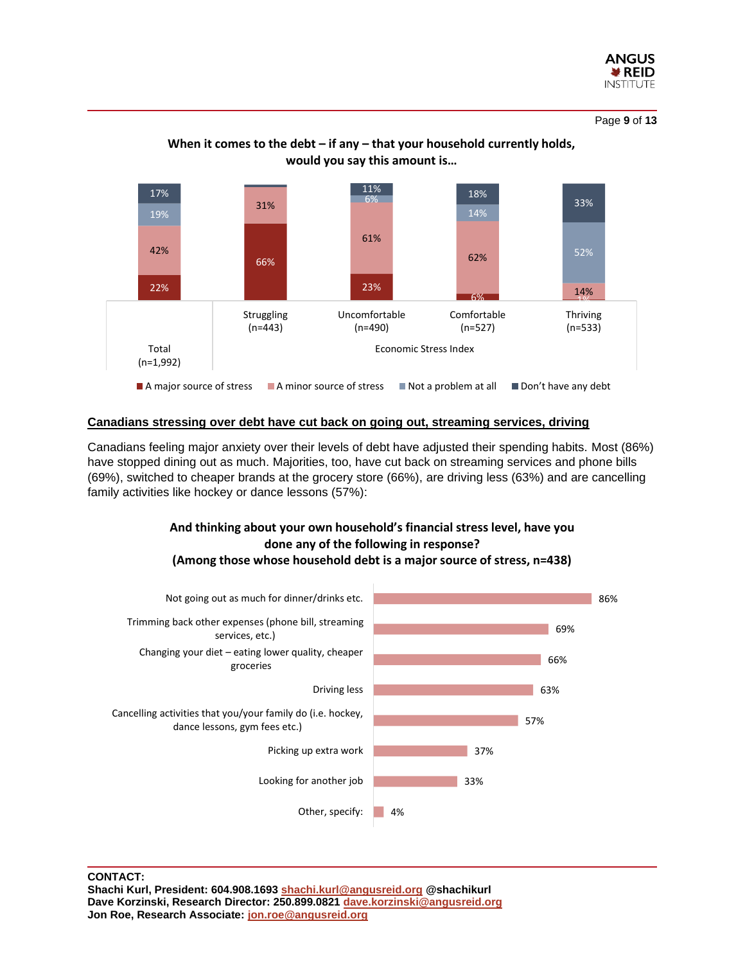

Page **9** of **13**



# **When it comes to the debt – if any – that your household currently holds, would you say this amount is…**

#### **Canadians stressing over debt have cut back on going out, streaming services, driving**

Canadians feeling major anxiety over their levels of debt have adjusted their spending habits. Most (86%) have stopped dining out as much. Majorities, too, have cut back on streaming services and phone bills (69%), switched to cheaper brands at the grocery store (66%), are driving less (63%) and are cancelling family activities like hockey or dance lessons (57%):

# **And thinking about your own household's financial stress level, have you done any of the following in response? (Among those whose household debt is a major source of stress, n=438)**

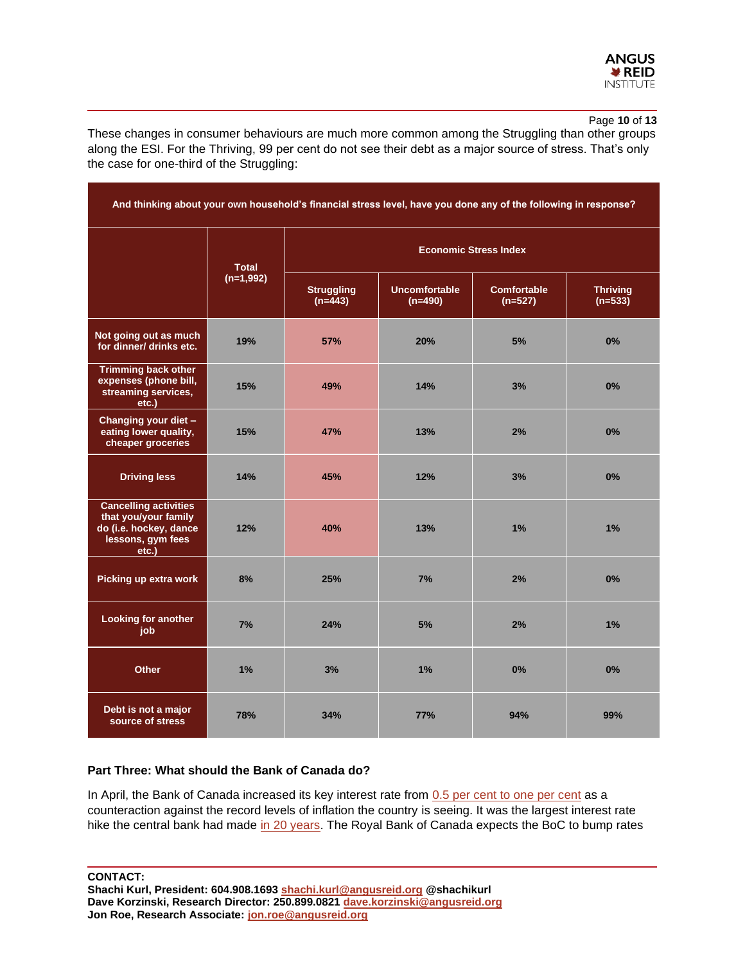

Page **10** of **13**

These changes in consumer behaviours are much more common among the Struggling than other groups along the ESI. For the Thriving, 99 per cent do not see their debt as a major source of stress. That's only the case for one-third of the Struggling:

| And thinking about your own household's financial stress level, have you done any of the following in response? |              |                                |                                   |                                 |                              |  |  |  |
|-----------------------------------------------------------------------------------------------------------------|--------------|--------------------------------|-----------------------------------|---------------------------------|------------------------------|--|--|--|
|                                                                                                                 | <b>Total</b> | <b>Economic Stress Index</b>   |                                   |                                 |                              |  |  |  |
|                                                                                                                 | $(n=1,992)$  | <b>Struggling</b><br>$(n=443)$ | <b>Uncomfortable</b><br>$(n=490)$ | <b>Comfortable</b><br>$(n=527)$ | <b>Thriving</b><br>$(n=533)$ |  |  |  |
| Not going out as much<br>for dinner/ drinks etc.                                                                | 19%          | 57%                            | 20%                               | 5%                              | 0%                           |  |  |  |
| <b>Trimming back other</b><br>expenses (phone bill,<br>streaming services,<br>etc.                              | 15%          | 49%                            | 14%                               | 3%                              | 0%                           |  |  |  |
| Changing your diet -<br>eating lower quality,<br>cheaper groceries                                              | 15%          | 47%                            | 13%                               | 2%                              | 0%                           |  |  |  |
| <b>Driving less</b>                                                                                             | 14%          | 45%                            | 12%                               | 3%                              | 0%                           |  |  |  |
| <b>Cancelling activities</b><br>that you/your family<br>do (i.e. hockey, dance<br>lessons, gym fees<br>etc.)    | 12%          | 40%                            | 13%                               | 1%                              | 1%                           |  |  |  |
| Picking up extra work                                                                                           | 8%           | 25%                            | 7%                                | 2%                              | 0%                           |  |  |  |
| <b>Looking for another</b><br>job                                                                               | 7%           | 24%                            | 5%                                | 2%                              | 1%                           |  |  |  |
| <b>Other</b>                                                                                                    | 1%           | 3%                             | 1%                                | 0%                              | 0%                           |  |  |  |
| Debt is not a major<br>source of stress                                                                         | 78%          | 34%                            | <b>77%</b>                        | 94%                             | 99%                          |  |  |  |

# **Part Three: What should the Bank of Canada do?**

In April, the Bank of Canada increased its key interest rate from [0.5 per cent to one per cent](https://www.ctvnews.ca/business/boc-interest-rate-hike-will-limit-purchasing-power-of-homebuyers-expert-1.5860284) as a counteraction against the record levels of inflation the country is seeing. It was the largest interest rate hike the central bank had made [in 20 years.](https://www.ctvnews.ca/business/boc-interest-rate-hike-will-limit-purchasing-power-of-homebuyers-expert-1.5860284) The Royal Bank of Canada expects the BoC to bump rates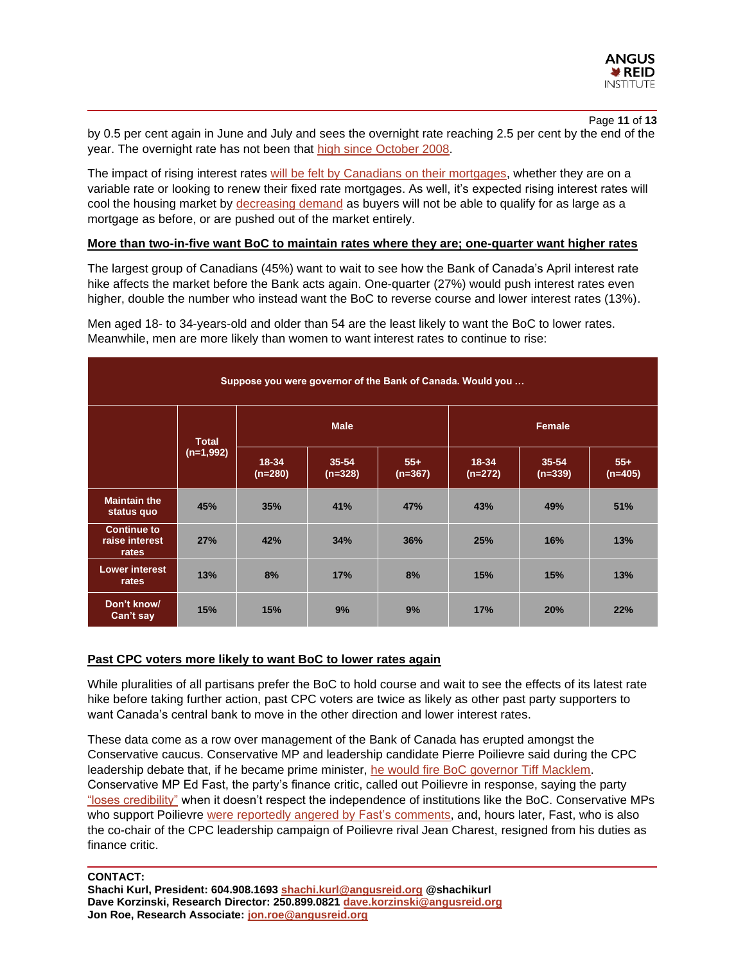

Page **11** of **13** by 0.5 per cent again in June and July and sees the overnight rate reaching 2.5 per cent by the end of the year. The overnight rate has not been that [high since October 2008.](https://wowa.ca/bank-of-canada-interest-rate)

The impact of rising interest rates [will be felt by Canadians on their mortgages,](https://www.ctvnews.ca/business/what-does-the-interest-rate-hike-mean-for-canadians-looking-for-mortgage-adjustments-1.5861137) whether they are on a variable rate or looking to renew their fixed rate mortgages. As well, it's expected rising interest rates will cool the housing market by [decreasing demand](https://thoughtleadership.rbc.com/rising-interest-rates-a-game-changer-for-canadas-housing-market/) as buyers will not be able to qualify for as large as a mortgage as before, or are pushed out of the market entirely.

#### **More than two-in-five want BoC to maintain rates where they are; one-quarter want higher rates**

The largest group of Canadians (45%) want to wait to see how the Bank of Canada's April interest rate hike affects the market before the Bank acts again. One-quarter (27%) would push interest rates even higher, double the number who instead want the BoC to reverse course and lower interest rates (13%).

Men aged 18- to 34-years-old and older than 54 are the least likely to want the BoC to lower rates. Meanwhile, men are more likely than women to want interest rates to continue to rise:

| Suppose you were governor of the Bank of Canada. Would you |                             |                        |                        |                    |                        |                        |                    |  |  |
|------------------------------------------------------------|-----------------------------|------------------------|------------------------|--------------------|------------------------|------------------------|--------------------|--|--|
|                                                            | <b>Total</b><br>$(n=1,992)$ |                        | <b>Male</b>            |                    | <b>Female</b>          |                        |                    |  |  |
|                                                            |                             | $18 - 34$<br>$(n=280)$ | $35 - 54$<br>$(n=328)$ | $55+$<br>$(n=367)$ | $18 - 34$<br>$(n=272)$ | $35 - 54$<br>$(n=339)$ | $55+$<br>$(n=405)$ |  |  |
| <b>Maintain the</b><br>status quo                          | 45%                         | 35%                    | 41%                    | 47%                | 43%                    | 49%                    | 51%                |  |  |
| <b>Continue to</b><br>raise interest<br>rates              | 27%                         | 42%                    | 34%                    | 36%                | 25%                    | 16%                    | 13%                |  |  |
| <b>Lower interest</b><br>rates                             | 13%                         | 8%                     | 17%                    | 8%                 | 15%                    | 15%                    | 13%                |  |  |
| Don't know/<br>Can't say                                   | 15%                         | 15%                    | 9%                     | 9%                 | 17%                    | 20%                    | 22%                |  |  |

# **Past CPC voters more likely to want BoC to lower rates again**

While pluralities of all partisans prefer the BoC to hold course and wait to see the effects of its latest rate hike before taking further action, past CPC voters are twice as likely as other past party supporters to want Canada's central bank to move in the other direction and lower interest rates.

These data come as a row over management of the Bank of Canada has erupted amongst the Conservative caucus. Conservative MP and leadership candidate Pierre Poilievre said during the CPC leadership debate that, if he became prime minister, [he would fire BoC governor Tiff Macklem.](https://nationalpost.com/news/politics/conservative-finance-critic-is-deeply-troubled-by-poilievres-plan-to-fire-boc-governor) Conservative MP Ed Fast, the party's finance critic, called out Poilievre in response, saying the party ["loses credibility"](https://nationalpost.com/news/politics/conservative-finance-critic-is-deeply-troubled-by-poilievres-plan-to-fire-boc-governor) when it doesn't respect the independence of institutions like the BoC. Conservative MPs who support Poilievre [were reportedly angered by Fast's](https://nationalpost.com/news/politics/conservative-finance-critic-is-deeply-troubled-by-poilievres-plan-to-fire-boc-governor) comments, and, hours later, Fast, who is also the co-chair of the CPC leadership campaign of Poilievre rival Jean Charest, resigned from his duties as finance critic.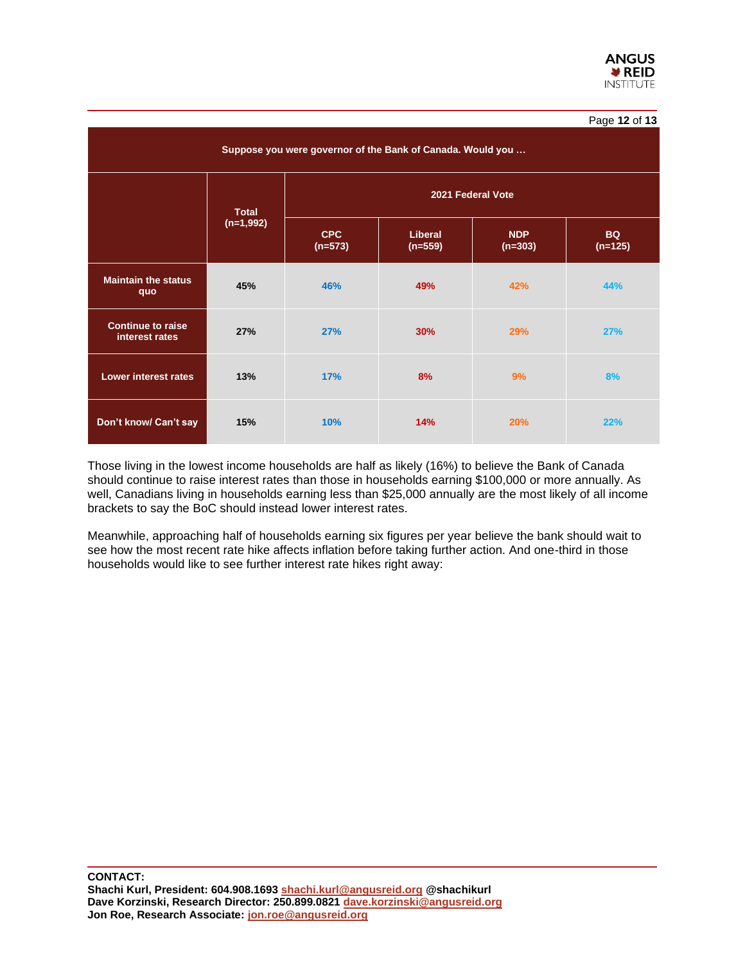| Suppose you were governor of the Bank of Canada. Would you |              |                         |                             |                         |                        |  |  |  |
|------------------------------------------------------------|--------------|-------------------------|-----------------------------|-------------------------|------------------------|--|--|--|
|                                                            | <b>Total</b> | 2021 Federal Vote       |                             |                         |                        |  |  |  |
|                                                            | $(n=1,992)$  | <b>CPC</b><br>$(n=573)$ | <b>Liberal</b><br>$(n=559)$ | <b>NDP</b><br>$(n=303)$ | <b>BQ</b><br>$(n=125)$ |  |  |  |
| <b>Maintain the status</b><br>quo                          | 45%          | 46%                     | 49%                         | 42%                     | 44%                    |  |  |  |
| <b>Continue to raise</b><br>interest rates                 | 27%          | 27%                     | 30%                         | 29%                     | <b>27%</b>             |  |  |  |
| Lower interest rates                                       | 13%          | 17%                     | 8%                          | 9%                      | 8%                     |  |  |  |
| Don't know/ Can't say                                      | 15%          | 10%                     | 14%                         | 20%                     | 22%                    |  |  |  |

Those living in the lowest income households are half as likely (16%) to believe the Bank of Canada should continue to raise interest rates than those in households earning \$100,000 or more annually. As well, Canadians living in households earning less than \$25,000 annually are the most likely of all income brackets to say the BoC should instead lower interest rates.

Meanwhile, approaching half of households earning six figures per year believe the bank should wait to see how the most recent rate hike affects inflation before taking further action. And one-third in those households would like to see further interest rate hikes right away: